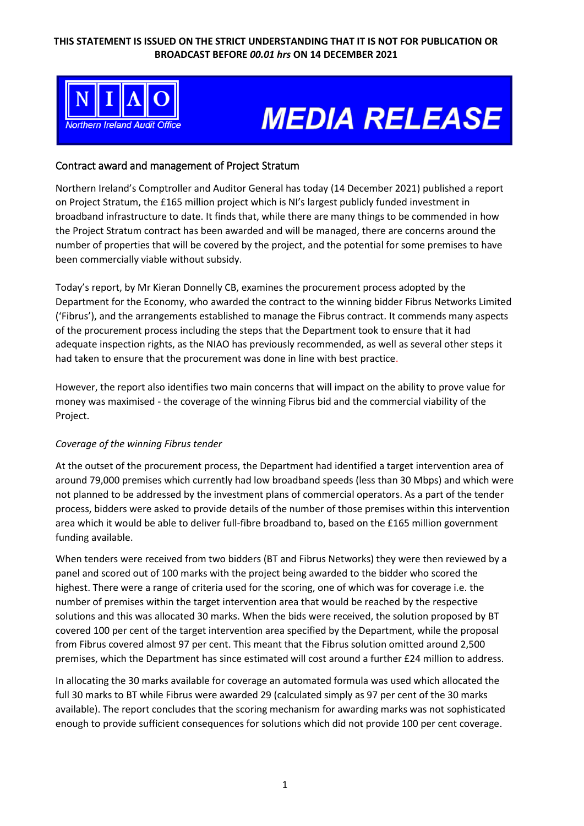

# **MEDIA RELEASE**

### Contract award and management of Project Stratum

Northern Ireland's Comptroller and Auditor General has today (14 December 2021) published a report on Project Stratum, the £165 million project which is NI's largest publicly funded investment in broadband infrastructure to date. It finds that, while there are many things to be commended in how the Project Stratum contract has been awarded and will be managed, there are concerns around the number of properties that will be covered by the project, and the potential for some premises to have been commercially viable without subsidy.

Today's report, by Mr Kieran Donnelly CB, examines the procurement process adopted by the Department for the Economy, who awarded the contract to the winning bidder Fibrus Networks Limited ('Fibrus'), and the arrangements established to manage the Fibrus contract. It commends many aspects of the procurement process including the steps that the Department took to ensure that it had adequate inspection rights, as the NIAO has previously recommended, as well as several other steps it had taken to ensure that the procurement was done in line with best practice.

However, the report also identifies two main concerns that will impact on the ability to prove value for money was maximised - the coverage of the winning Fibrus bid and the commercial viability of the Project.

### *Coverage of the winning Fibrus tender*

At the outset of the procurement process, the Department had identified a target intervention area of around 79,000 premises which currently had low broadband speeds (less than 30 Mbps) and which were not planned to be addressed by the investment plans of commercial operators. As a part of the tender process, bidders were asked to provide details of the number of those premises within this intervention area which it would be able to deliver full-fibre broadband to, based on the £165 million government funding available.

When tenders were received from two bidders (BT and Fibrus Networks) they were then reviewed by a panel and scored out of 100 marks with the project being awarded to the bidder who scored the highest. There were a range of criteria used for the scoring, one of which was for coverage i.e. the number of premises within the target intervention area that would be reached by the respective solutions and this was allocated 30 marks. When the bids were received, the solution proposed by BT covered 100 per cent of the target intervention area specified by the Department, while the proposal from Fibrus covered almost 97 per cent. This meant that the Fibrus solution omitted around 2,500 premises, which the Department has since estimated will cost around a further £24 million to address.

In allocating the 30 marks available for coverage an automated formula was used which allocated the full 30 marks to BT while Fibrus were awarded 29 (calculated simply as 97 per cent of the 30 marks available). The report concludes that the scoring mechanism for awarding marks was not sophisticated enough to provide sufficient consequences for solutions which did not provide 100 per cent coverage.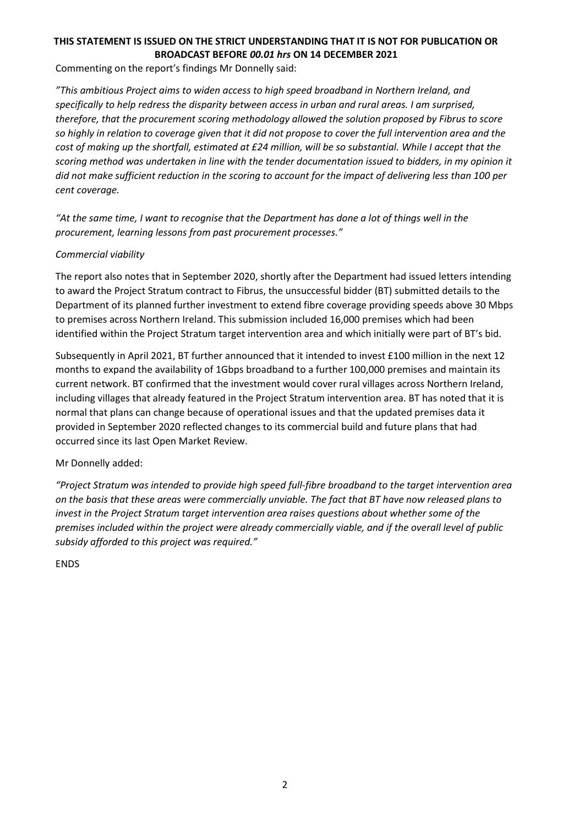## **THIS STATEMENT IS ISSUED ON THE STRICT UNDERSTANDING THAT IT IS NOT FOR PUBLICATION OR BROADCAST BEFORE** *00.01 hrs* **ON 14 DECEMBER 2021**

Commenting on the report's findings Mr Donnelly said:

*"This ambitious Project aims to widen access to high speed broadband in Northern Ireland, and specifically to help redress the disparity between access in urban and rural areas. I am surprised, therefore, that the procurement scoring methodology allowed the solution proposed by Fibrus to score so highly in relation to coverage given that it did not propose to cover the full intervention area and the cost of making up the shortfall, estimated at £24 million, will be so substantial. While I accept that the scoring method was undertaken in line with the tender documentation issued to bidders, in my opinion it did not make sufficient reduction in the scoring to account for the impact of delivering less than 100 per cent coverage.*

*"At the same time, I want to recognise that the Department has done a lot of things well in the procurement, learning lessons from past procurement processes."*

### *Commercial viability*

The report also notes that in September 2020, shortly after the Department had issued letters intending to award the Project Stratum contract to Fibrus, the unsuccessful bidder (BT) submitted details to the Department of its planned further investment to extend fibre coverage providing speeds above 30 Mbps to premises across Northern Ireland. This submission included 16,000 premises which had been identified within the Project Stratum target intervention area and which initially were part of BT's bid.

Subsequently in April 2021, BT further announced that it intended to invest £100 million in the next 12 months to expand the availability of 1Gbps broadband to a further 100,000 premises and maintain its current network. BT confirmed that the investment would cover rural villages across Northern Ireland, including villages that already featured in the Project Stratum intervention area. BT has noted that it is normal that plans can change because of operational issues and that the updated premises data it provided in September 2020 reflected changes to its commercial build and future plans that had occurred since its last Open Market Review.

### Mr Donnelly added:

*"Project Stratum was intended to provide high speed full-fibre broadband to the target intervention area on the basis that these areas were commercially unviable. The fact that BT have now released plans to invest in the Project Stratum target intervention area raises questions about whether some of the premises included within the project were already commercially viable, and if the overall level of public subsidy afforded to this project was required."*

ENDS